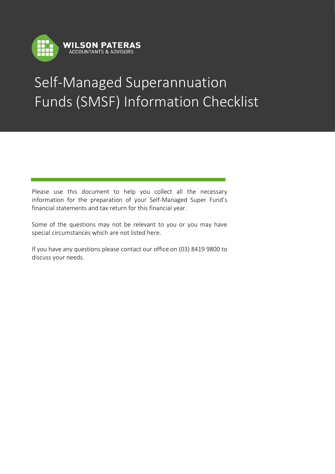

I

## Self-Managed Superannuation Funds (SMSF) Information Checklist i,

Please use this document to help you collect all the necessary information for the preparation of your Self-Managed Super Fund's financial statements and tax return for this financial year.

Some of the questions may not be relevant to you or you may have special circumstances which are not listed here.

If you have any questions please contact our office on (03) 8419 9800 to discuss your needs.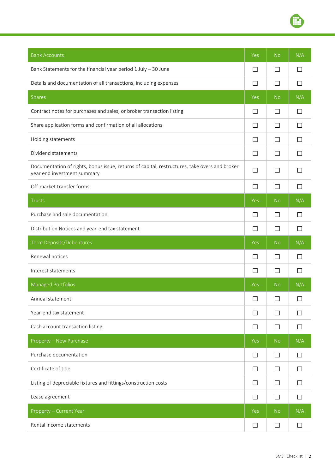

| <b>Bank Accounts</b>                                                                                                         | Yes    | No             | N/A          |
|------------------------------------------------------------------------------------------------------------------------------|--------|----------------|--------------|
| Bank Statements for the financial year period 1 July - 30 June                                                               | П      | $\Box$         |              |
| Details and documentation of all transactions, including expenses                                                            | П      | □              | $\Box$       |
| Shares                                                                                                                       | Yes    | <b>No</b>      | N/A          |
| Contract notes for purchases and sales, or broker transaction listing                                                        | □      | □              |              |
| Share application forms and confirmation of all allocations                                                                  | □      | □              | $\Box$       |
| Holding statements                                                                                                           | П      | □              |              |
| Dividend statements                                                                                                          | П      | П              |              |
| Documentation of rights, bonus issue, returns of capital, restructures, take overs and broker<br>year end investment summary | П      | $\Box$         |              |
| Off-market transfer forms                                                                                                    | $\Box$ | $\Box$         | $\Box$       |
| <b>Trusts</b>                                                                                                                | Yes    | <b>No</b>      | N/A          |
| Purchase and sale documentation                                                                                              | $\Box$ | $\Box$         | $\mathsf{L}$ |
| Distribution Notices and year-end tax statement                                                                              | $\Box$ | $\Box$         | П            |
| Term Deposits/Debentures                                                                                                     | Yes    | <b>No</b>      | N/A          |
| Renewal notices                                                                                                              | П      | П              |              |
| Interest statements                                                                                                          | $\Box$ | $\Box$         | L            |
| <b>Managed Portfolios</b>                                                                                                    | Yes    | N <sub>o</sub> | N/A          |
| Annual statement                                                                                                             | $\Box$ | $\Box$         | $\Box$       |
| Year-end tax statement                                                                                                       | $\Box$ | $\Box$         | ΙI           |
| Cash account transaction listing                                                                                             | $\Box$ | $\Box$         | П            |
| Property - New Purchase                                                                                                      | Yes    | <b>No</b>      | N/A          |
| Purchase documentation                                                                                                       | $\Box$ | $\Box$         |              |
| Certificate of title                                                                                                         | $\Box$ | $\Box$         |              |
| Listing of depreciable fixtures and fittings/construction costs                                                              | П      | $\Box$         |              |
| Lease agreement                                                                                                              | $\Box$ | $\Box$         | $\perp$      |
| Property - Current Year                                                                                                      | Yes    | <b>No</b>      | N/A          |
| Rental income statements                                                                                                     | П      | $\Box$         |              |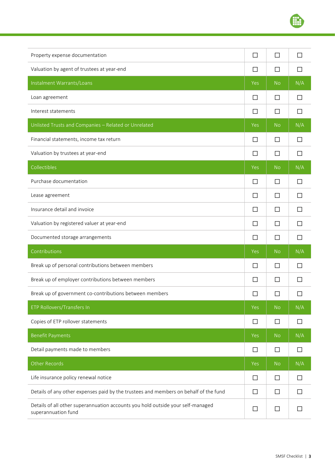